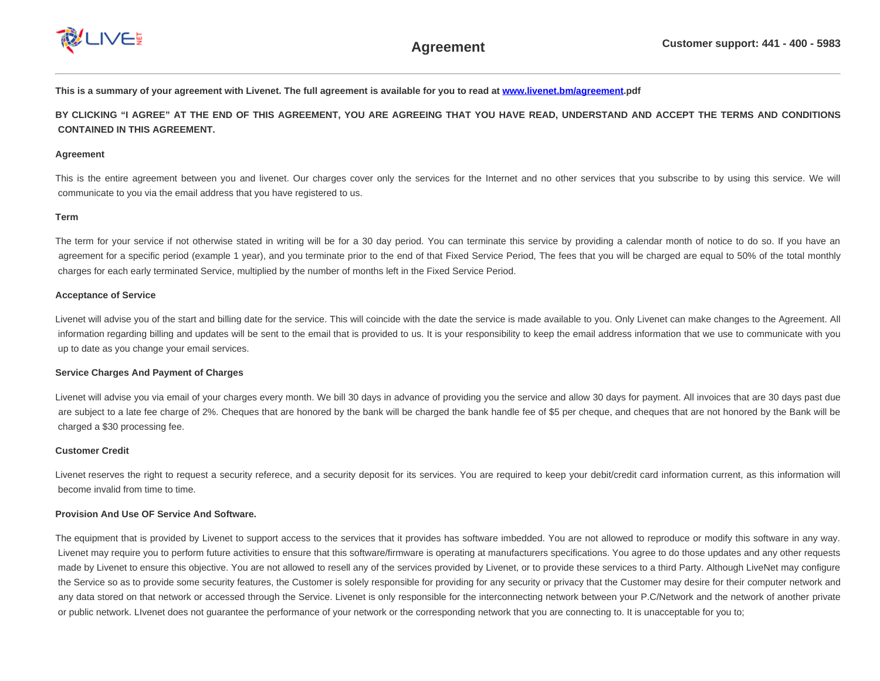

**This is a summary of your agreement with Livenet. The full agreement is available for you to read at [www.livenet.bm/agreement](file:///C/Users/vasanthavasan/Desktop/er%202/www.livenet.bm/agreement).pdf**

**BY CLICKING "I AGREE" AT THE END OF THIS AGREEMENT, YOU ARE AGREEING THAT YOU HAVE READ, UNDERSTAND AND ACCEPT THE TERMS AND CONDITIONS CONTAINED IN THIS AGREEMENT.**

## **Agreement**

This is the entire agreement between you and livenet. Our charges cover only the services for the Internet and no other services that you subscribe to by using this service. We will communicate to you via the email address that you have registered to us.

### **Term**

The term for your service if not otherwise stated in writing will be for a 30 day period. You can terminate this service by providing a calendar month of notice to do so. If you have an agreement for a specific period (example 1 year), and you terminate prior to the end of that Fixed Service Period, The fees that you will be charged are equal to 50% of the total monthly charges for each early terminated Service, multiplied by the number of months left in the Fixed Service Period.

### **Acceptance of Service**

Livenet will advise you of the start and billing date for the service. This will coincide with the date the service is made available to you. Only Livenet can make changes to the Agreement. All information regarding billing and updates will be sent to the email that is provided to us. It is your responsibility to keep the email address information that we use to communicate with you up to date as you change your email services.

### **Service Charges And Payment of Charges**

Livenet will advise you via email of your charges every month. We bill 30 days in advance of providing you the service and allow 30 days for payment. All invoices that are 30 days past due are subject to a late fee charge of 2%. Cheques that are honored by the bank will be charged the bank handle fee of \$5 per cheque, and cheques that are not honored by the Bank will be charged a \$30 processing fee.

### **Customer Credit**

Livenet reserves the right to request a security referece, and a security deposit for its services. You are required to keep your debit/credit card information current, as this information will become invalid from time to time.

### **Provision And Use OF Service And Software.**

The equipment that is provided by Livenet to support access to the services that it provides has software imbedded. You are not allowed to reproduce or modify this software in any way. Livenet may require you to perform future activities to ensure that this software/firmware is operating at manufacturers specifications. You agree to do those updates and any other requests made by Livenet to ensure this objective. You are not allowed to resell any of the services provided by Livenet, or to provide these services to a third Party. Although LiveNet may configure the Service so as to provide some security features, the Customer is solely responsible for providing for any security or privacy that the Customer may desire for their computer network and any data stored on that network or accessed through the Service. Livenet is only responsible for the interconnecting network between your P.C/Network and the network of another private or public network. LIvenet does not guarantee the performance of your network or the corresponding network that you are connecting to. It is unacceptable for you to;